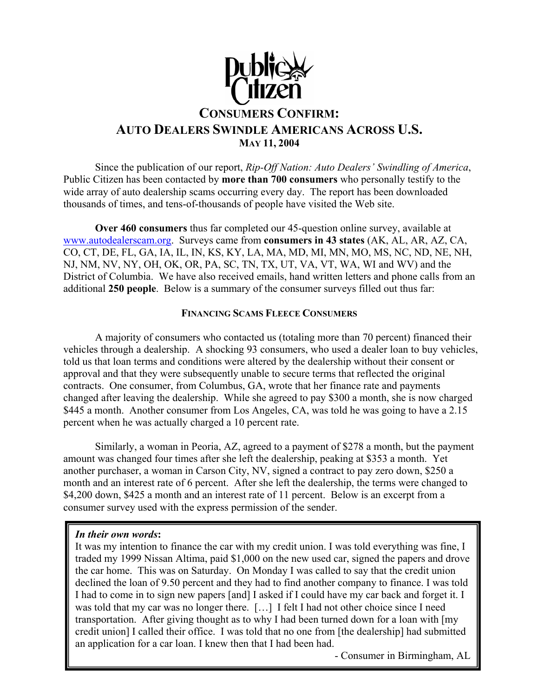

 Since the publication of our report, *Rip-Off Nation: Auto Dealers' Swindling of America*, Public Citizen has been contacted by **more than 700 consumers** who personally testify to the wide array of auto dealership scams occurring every day. The report has been downloaded thousands of times, and tens-of-thousands of people have visited the Web site.

**Over 460 consumers** thus far completed our 45-question online survey, available at www.autodealerscam.org. Surveys came from **consumers in 43 states** (AK, AL, AR, AZ, CA, CO, CT, DE, FL, GA, IA, IL, IN, KS, KY, LA, MA, MD, MI, MN, MO, MS, NC, ND, NE, NH, NJ, NM, NV, NY, OH, OK, OR, PA, SC, TN, TX, UT, VA, VT, WA, WI and WV) and the District of Columbia. We have also received emails, hand written letters and phone calls from an additional **250 people**. Below is a summary of the consumer surveys filled out thus far:

# **FINANCING SCAMS FLEECE CONSUMERS**

 A majority of consumers who contacted us (totaling more than 70 percent) financed their vehicles through a dealership. A shocking 93 consumers, who used a dealer loan to buy vehicles, told us that loan terms and conditions were altered by the dealership without their consent or approval and that they were subsequently unable to secure terms that reflected the original contracts. One consumer, from Columbus, GA, wrote that her finance rate and payments changed after leaving the dealership. While she agreed to pay \$300 a month, she is now charged \$445 a month. Another consumer from Los Angeles, CA, was told he was going to have a 2.15 percent when he was actually charged a 10 percent rate.

 Similarly, a woman in Peoria, AZ, agreed to a payment of \$278 a month, but the payment amount was changed four times after she left the dealership, peaking at \$353 a month. Yet another purchaser, a woman in Carson City, NV, signed a contract to pay zero down, \$250 a month and an interest rate of 6 percent. After she left the dealership, the terms were changed to \$4,200 down, \$425 a month and an interest rate of 11 percent. Below is an excerpt from a consumer survey used with the express permission of the sender.

## *In their own words***:**

It was my intention to finance the car with my credit union. I was told everything was fine, I traded my 1999 Nissan Altima, paid \$1,000 on the new used car, signed the papers and drove the car home. This was on Saturday. On Monday I was called to say that the credit union declined the loan of 9.50 percent and they had to find another company to finance. I was told I had to come in to sign new papers [and] I asked if I could have my car back and forget it. I was told that my car was no longer there. […] I felt I had not other choice since I need transportation. After giving thought as to why I had been turned down for a loan with [my credit union] I called their office. I was told that no one from [the dealership] had submitted an application for a car loan. I knew then that I had been had.

- Consumer in Birmingham, AL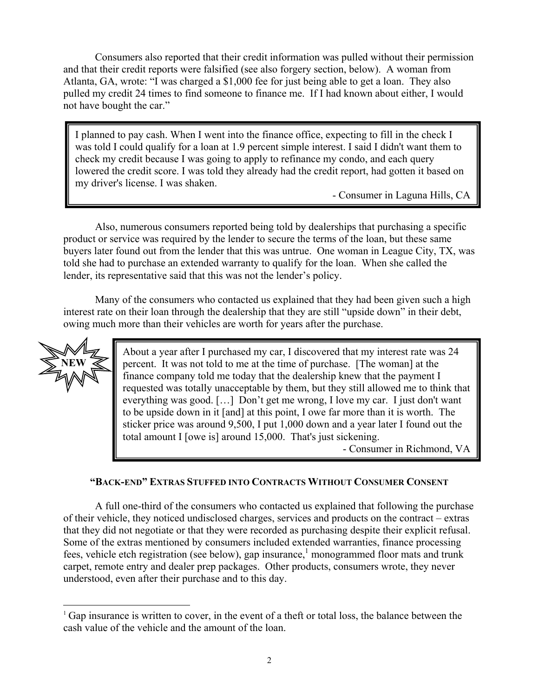Consumers also reported that their credit information was pulled without their permission and that their credit reports were falsified (see also forgery section, below). A woman from Atlanta, GA, wrote: "I was charged a \$1,000 fee for just being able to get a loan. They also pulled my credit 24 times to find someone to finance me. If I had known about either, I would not have bought the car."

I planned to pay cash. When I went into the finance office, expecting to fill in the check I was told I could qualify for a loan at 1.9 percent simple interest. I said I didn't want them to check my credit because I was going to apply to refinance my condo, and each query lowered the credit score. I was told they already had the credit report, had gotten it based on my driver's license. I was shaken.

- Consumer in Laguna Hills, CA

 Also, numerous consumers reported being told by dealerships that purchasing a specific product or service was required by the lender to secure the terms of the loan, but these same buyers later found out from the lender that this was untrue. One woman in League City, TX, was told she had to purchase an extended warranty to qualify for the loan. When she called the lender, its representative said that this was not the lender's policy.

 Many of the consumers who contacted us explained that they had been given such a high interest rate on their loan through the dealership that they are still "upside down" in their debt, owing much more than their vehicles are worth for years after the purchase.



 $\overline{a}$ 

About a year after I purchased my car, I discovered that my interest rate was 24 percent. It was not told to me at the time of purchase. [The woman] at the finance company told me today that the dealership knew that the payment I requested was totally unacceptable by them, but they still allowed me to think that everything was good. […] Don't get me wrong, I love my car. I just don't want to be upside down in it [and] at this point, I owe far more than it is worth. The sticker price was around 9,500, I put 1,000 down and a year later I found out the total amount I [owe is] around 15,000. That's just sickening.

- Consumer in Richmond, VA

# **"BACK-END" EXTRAS STUFFED INTO CONTRACTS WITHOUT CONSUMER CONSENT**

 A full one-third of the consumers who contacted us explained that following the purchase of their vehicle, they noticed undisclosed charges, services and products on the contract – extras that they did not negotiate or that they were recorded as purchasing despite their explicit refusal. Some of the extras mentioned by consumers included extended warranties, finance processing fees, vehicle etch registration (see below), gap insurance,<sup>1</sup> monogrammed floor mats and trunk carpet, remote entry and dealer prep packages. Other products, consumers wrote, they never understood, even after their purchase and to this day.

<sup>&</sup>lt;sup>1</sup> Gap insurance is written to cover, in the event of a theft or total loss, the balance between the cash value of the vehicle and the amount of the loan.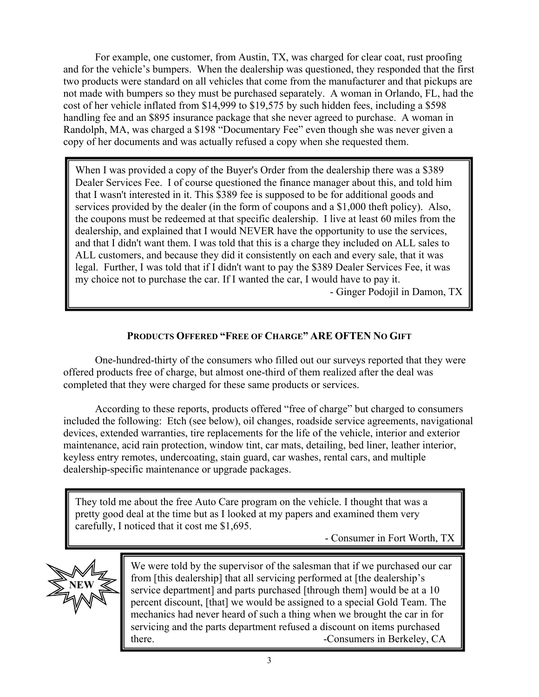For example, one customer, from Austin, TX, was charged for clear coat, rust proofing and for the vehicle's bumpers. When the dealership was questioned, they responded that the first two products were standard on all vehicles that come from the manufacturer and that pickups are not made with bumpers so they must be purchased separately. A woman in Orlando, FL, had the cost of her vehicle inflated from \$14,999 to \$19,575 by such hidden fees, including a \$598 handling fee and an \$895 insurance package that she never agreed to purchase. A woman in Randolph, MA, was charged a \$198 "Documentary Fee" even though she was never given a copy of her documents and was actually refused a copy when she requested them.

When I was provided a copy of the Buyer's Order from the dealership there was a \$389 Dealer Services Fee. I of course questioned the finance manager about this, and told him that I wasn't interested in it. This \$389 fee is supposed to be for additional goods and services provided by the dealer (in the form of coupons and a \$1,000 theft policy). Also, the coupons must be redeemed at that specific dealership. I live at least 60 miles from the dealership, and explained that I would NEVER have the opportunity to use the services, and that I didn't want them. I was told that this is a charge they included on ALL sales to ALL customers, and because they did it consistently on each and every sale, that it was legal. Further, I was told that if I didn't want to pay the \$389 Dealer Services Fee, it was my choice not to purchase the car. If I wanted the car, I would have to pay it.

- Ginger Podojil in Damon, TX

# **PRODUCTS OFFERED "FREE OF CHARGE" ARE OFTEN NO GIFT**

One-hundred-thirty of the consumers who filled out our surveys reported that they were offered products free of charge, but almost one-third of them realized after the deal was completed that they were charged for these same products or services.

 According to these reports, products offered "free of charge" but charged to consumers included the following: Etch (see below), oil changes, roadside service agreements, navigational devices, extended warranties, tire replacements for the life of the vehicle, interior and exterior maintenance, acid rain protection, window tint, car mats, detailing, bed liner, leather interior, keyless entry remotes, undercoating, stain guard, car washes, rental cars, and multiple dealership-specific maintenance or upgrade packages.

They told me about the free Auto Care program on the vehicle. I thought that was a pretty good deal at the time but as I looked at my papers and examined them very carefully, I noticed that it cost me \$1,695.

- Consumer in Fort Worth, TX



We were told by the supervisor of the salesman that if we purchased our car from [this dealership] that all servicing performed at [the dealership's service department] and parts purchased [through them] would be at a 10 percent discount, [that] we would be assigned to a special Gold Team. The mechanics had never heard of such a thing when we brought the car in for servicing and the parts department refused a discount on items purchased there.  $\blacksquare$  -Consumers in Berkeley, CA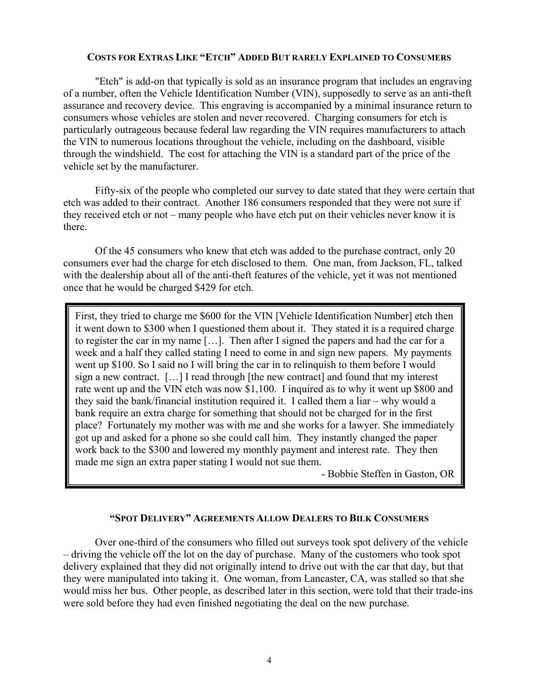#### **COSTS FOR EXTRAS LIKE "ETCH" ADDED BUT RARELY EXPLAINED TO CONSUMERS**

 "Etch" is add-on that typically is sold as an insurance program that includes an engraving of a number, often the Vehicle Identification Number (VIN), supposedly to serve as an anti-theft assurance and recovery device. This engraving is accompanied by a minimal insurance return to consumers whose vehicles are stolen and never recovered. Charging consumers for etch is particularly outrageous because federal law regarding the VIN requires manufacturers to attach the VIN to numerous locations throughout the vehicle, including on the dashboard, visible through the windshield. The cost for attaching the VIN is a standard part of the price of the vehicle set by the manufacturer.

 Fifty-six of the people who completed our survey to date stated that they were certain that etch was added to their contract. Another 186 consumers responded that they were not sure if they received etch or not – many people who have etch put on their vehicles never know it is there.

 Of the 45 consumers who knew that etch was added to the purchase contract, only 20 consumers ever had the charge for etch disclosed to them. One man, from Jackson, FL, talked with the dealership about all of the anti-theft features of the vehicle, yet it was not mentioned once that he would be charged \$429 for etch.

First, they tried to charge me \$600 for the VIN [Vehicle Identification Number] etch then it went down to \$300 when I questioned them about it. They stated it is a required charge to register the car in my name […]. Then after I signed the papers and had the car for a week and a half they called stating I need to come in and sign new papers. My payments went up \$100. So I said no I will bring the car in to relinquish to them before I would sign a new contract. […] I read through [the new contract] and found that my interest rate went up and the VIN etch was now \$1,100. I inquired as to why it went up \$800 and they said the bank/financial institution required it. I called them a liar – why would a bank require an extra charge for something that should not be charged for in the first place? Fortunately my mother was with me and she works for a lawyer. She immediately got up and asked for a phone so she could call him. They instantly changed the paper work back to the \$300 and lowered my monthly payment and interest rate. They then made me sign an extra paper stating I would not sue them.

- Bobbie Steffen in Gaston, OR

# **"SPOT DELIVERY" AGREEMENTS ALLOW DEALERS TO BILK CONSUMERS**

 Over one-third of the consumers who filled out surveys took spot delivery of the vehicle – driving the vehicle off the lot on the day of purchase. Many of the customers who took spot delivery explained that they did not originally intend to drive out with the car that day, but that they were manipulated into taking it. One woman, from Lancaster, CA, was stalled so that she would miss her bus. Other people, as described later in this section, were told that their trade-ins were sold before they had even finished negotiating the deal on the new purchase.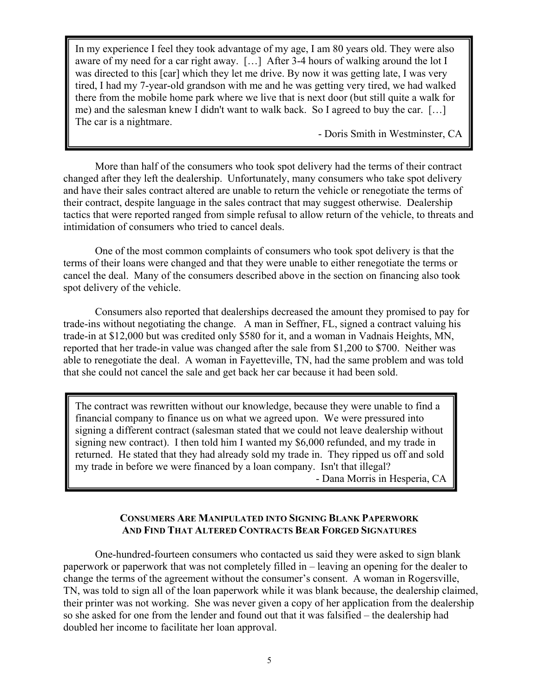In my experience I feel they took advantage of my age, I am 80 years old. They were also aware of my need for a car right away. […] After 3-4 hours of walking around the lot I was directed to this [car] which they let me drive. By now it was getting late, I was very tired, I had my 7-year-old grandson with me and he was getting very tired, we had walked there from the mobile home park where we live that is next door (but still quite a walk for me) and the salesman knew I didn't want to walk back. So I agreed to buy the car. […] The car is a nightmare.

- Doris Smith in Westminster, CA

More than half of the consumers who took spot delivery had the terms of their contract changed after they left the dealership. Unfortunately, many consumers who take spot delivery and have their sales contract altered are unable to return the vehicle or renegotiate the terms of their contract, despite language in the sales contract that may suggest otherwise. Dealership tactics that were reported ranged from simple refusal to allow return of the vehicle, to threats and intimidation of consumers who tried to cancel deals.

j

 One of the most common complaints of consumers who took spot delivery is that the terms of their loans were changed and that they were unable to either renegotiate the terms or cancel the deal. Many of the consumers described above in the section on financing also took spot delivery of the vehicle.

 Consumers also reported that dealerships decreased the amount they promised to pay for trade-ins without negotiating the change. A man in Seffner, FL, signed a contract valuing his trade-in at \$12,000 but was credited only \$580 for it, and a woman in Vadnais Heights, MN, reported that her trade-in value was changed after the sale from \$1,200 to \$700. Neither was able to renegotiate the deal. A woman in Fayetteville, TN, had the same problem and was told that she could not cancel the sale and get back her car because it had been sold.

The contract was rewritten without our knowledge, because they were unable to find a financial company to finance us on what we agreed upon. We were pressured into signing a different contract (salesman stated that we could not leave dealership without signing new contract). I then told him I wanted my \$6,000 refunded, and my trade in returned. He stated that they had already sold my trade in. They ripped us off and sold my trade in before we were financed by a loan company. Isn't that illegal?

- Dana Morris in Hesperia, CA

## **CONSUMERS ARE MANIPULATED INTO SIGNING BLANK PAPERWORK AND FIND THAT ALTERED CONTRACTS BEAR FORGED SIGNATURES**

 One-hundred-fourteen consumers who contacted us said they were asked to sign blank paperwork or paperwork that was not completely filled in – leaving an opening for the dealer to change the terms of the agreement without the consumer's consent. A woman in Rogersville, TN, was told to sign all of the loan paperwork while it was blank because, the dealership claimed, their printer was not working. She was never given a copy of her application from the dealership so she asked for one from the lender and found out that it was falsified – the dealership had doubled her income to facilitate her loan approval.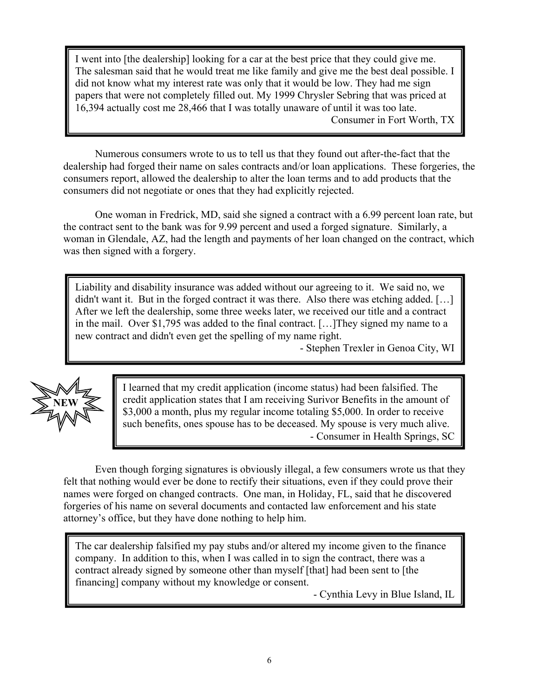I went into [the dealership] looking for a car at the best price that they could give me. The salesman said that he would treat me like family and give me the best deal possible. I did not know what my interest rate was only that it would be low. They had me sign papers that were not completely filled out. My 1999 Chrysler Sebring that was priced at 16,394 actually cost me 28,466 that I was totally unaware of until it was too late. Consumer in Fort Worth, TX

 Numerous consumers wrote to us to tell us that they found out after-the-fact that the dealership had forged their name on sales contracts and/or loan applications. These forgeries, the consumers report, allowed the dealership to alter the loan terms and to add products that the consumers did not negotiate or ones that they had explicitly rejected.

One woman in Fredrick, MD, said she signed a contract with a 6.99 percent loan rate, but the contract sent to the bank was for 9.99 percent and used a forged signature. Similarly, a woman in Glendale, AZ, had the length and payments of her loan changed on the contract, which was then signed with a forgery.

Liability and disability insurance was added without our agreeing to it. We said no, we didn't want it. But in the forged contract it was there. Also there was etching added. [...] After we left the dealership, some three weeks later, we received our title and a contract in the mail. Over \$1,795 was added to the final contract. […]They signed my name to a new contract and didn't even get the spelling of my name right.

- Stephen Trexler in Genoa City, WI



I learned that my credit application (income status) had been falsified. The credit application states that I am receiving Surivor Benefits in the amount of \$3,000 a month, plus my regular income totaling \$5,000. In order to receive such benefits, ones spouse has to be deceased. My spouse is very much alive. - Consumer in Health Springs, SC

 Even though forging signatures is obviously illegal, a few consumers wrote us that they felt that nothing would ever be done to rectify their situations, even if they could prove their names were forged on changed contracts. One man, in Holiday, FL, said that he discovered forgeries of his name on several documents and contacted law enforcement and his state attorney's office, but they have done nothing to help him.

The car dealership falsified my pay stubs and/or altered my income given to the finance company. In addition to this, when I was called in to sign the contract, there was a contract already signed by someone other than myself [that] had been sent to [the financing] company without my knowledge or consent.

- Cynthia Levy in Blue Island, IL